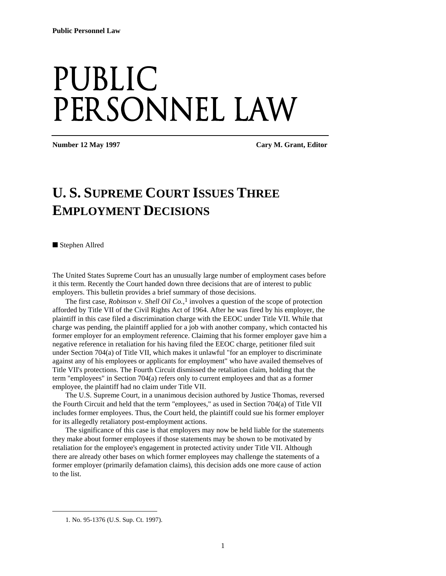## Public PERSONNEL LAW

**Number 12 May 1997** Cary M. Grant, Editor **Cary M. Grant**, Editor

## **U. S. SUPREME COURT ISSUES THREE EMPLOYMENT DECISIONS**

■ Stephen Allred

The United States Supreme Court has an unusually large number of employment cases before it this term. Recently the Court handed down three decisions that are of interest to public employers. This bulletin provides a brief summary of those decisions.

The first case, *Robinson v. Shell Oil Co.*, 1 involves a question of the scope of protection afforded by Title VII of the Civil Rights Act of 1964. After he was fired by his employer, the plaintiff in this case filed a discrimination charge with the EEOC under Title VII. While that charge was pending, the plaintiff applied for a job with another company, which contacted his former employer for an employment reference. Claiming that his former employer gave him a negative reference in retaliation for his having filed the EEOC charge, petitioner filed suit under Section 704(a) of Title VII, which makes it unlawful "for an employer to discriminate against any of his employees or applicants for employment" who have availed themselves of Title VII's protections. The Fourth Circuit dismissed the retaliation claim, holding that the term "employees" in Section 704(a) refers only to current employees and that as a former employee, the plaintiff had no claim under Title VII.

The U.S. Supreme Court, in a unanimous decision authored by Justice Thomas, reversed the Fourth Circuit and held that the term "employees," as used in Section 704(a) of Title VII includes former employees. Thus, the Court held, the plaintiff could sue his former employer for its allegedly retaliatory post-employment actions.

The significance of this case is that employers may now be held liable for the statements they make about former employees if those statements may be shown to be motivated by retaliation for the employee's engagement in protected activity under Title VII. Although there are already other bases on which former employees may challenge the statements of a former employer (primarily defamation claims), this decision adds one more cause of action to the list.

1

<sup>1.</sup> No. 95-1376 (U.S. Sup. Ct. 1997).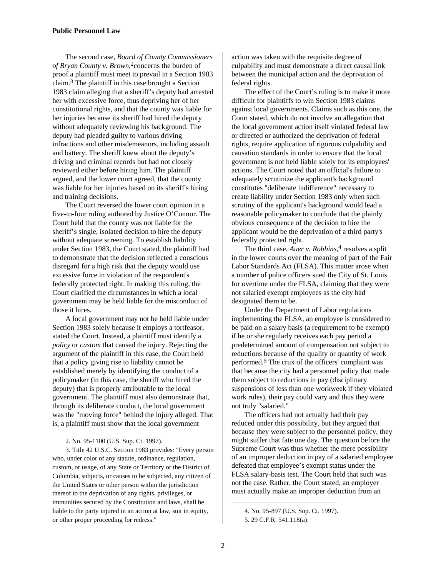The second case, *Board of County Commissioners of Bryan County v. Brown*, 2concerns the burden of proof a plaintiff must meet to prevail in a Section 1983 claim.3 The plaintiff in this case brought a Section 1983 claim alleging that a sheriff's deputy had arrested her with excessive force, thus depriving her of her constitutional rights, and that the county was liable for her injuries because its sheriff had hired the deputy without adequately reviewing his background. The deputy had pleaded guilty to various driving infractions and other misdemeanors, including assault and battery. The sheriff knew about the deputy's driving and criminal records but had not closely reviewed either before hiring him. The plaintiff argued, and the lower court agreed, that the county was liable for her injuries based on its sheriff's hiring and training decisions.

The Court reversed the lower court opinion in a five-to-four ruling authored by Justice O'Connor. The Court held that the county was not liable for the sheriff's single, isolated decision to hire the deputy without adequate screening. To establish liability under Section 1983, the Court stated, the plaintiff had to demonstrate that the decision reflected a conscious disregard for a high risk that the deputy would use excessive force in violation of the respondent's federally protected right. In making this ruling, the Court clarified the circumstances in which a local government may be held liable for the misconduct of those it hires.

A local government may not be held liable under Section 1983 solely because it employs a tortfeasor, stated the Court. Instead, a plaintiff must identify a *policy* or *custom* that caused the injury. Rejecting the argument of the plaintiff in this case, the Court held that a policy giving rise to liability cannot be established merely by identifying the conduct of a policymaker (in this case, the sheriff who hired the deputy) that is properly attributable to the local government. The plaintiff must also demonstrate that, through its deliberate conduct, the local government was the "moving force" behind the injury alleged. That is, a plaintiff must show that the local government

1

3. Title 42 U.S.C. Section 1983 provides: "Every person who, under color of any statute, ordinance, regulation, custom, or usage, of any State or Territory or the District of Columbia, subjects, or causes to be subjected, any citizen of the United States or other person within the jurisdiction thereof to the deprivation of any rights, privileges, or immunities secured by the Constitution and laws, shall be liable to the party injured in an action at law, suit in equity, or other proper proceeding for redress."

action was taken with the requisite degree of culpability and must demonstrate a direct causal link between the municipal action and the deprivation of federal rights.

The effect of the Court's ruling is to make it more difficult for plaintiffs to win Section 1983 claims against local governments. Claims such as this one, the Court stated, which do not involve an allegation that the local government action itself violated federal law or directed or authorized the deprivation of federal rights, require application of rigorous culpability and causation standards in order to ensure that the local government is not held liable solely for its employees' actions. The Court noted that an official's failure to adequately scrutinize the applicant's background constitutes "deliberate indifference" necessary to create liability under Section 1983 only when such scrutiny of the applicant's background would lead a reasonable policymaker to conclude that the plainly obvious consequence of the decision to hire the applicant would be the deprivation of a third party's federally protected right.

The third case, *Auer v. Robbins*, 4 resolves a split in the lower courts over the meaning of part of the Fair Labor Standards Act (FLSA). This matter arose when a number of police officers sued the City of St. Louis for overtime under the FLSA, claiming that they were not salaried exempt employees as the city had designated them to be.

Under the Department of Labor regulations implementing the FLSA, an employee is considered to be paid on a salary basis (a requirement to be exempt) if he or she regularly receives each pay period a predetermined amount of compensation not subject to reductions because of the quality or quantity of work performed.5 The crux of the officers' complaint was that because the city had a personnel policy that made them subject to reductions in pay (disciplinary suspensions of less than one workweek if they violated work rules), their pay could vary and thus they were not truly "salaried."

The officers had not actually had their pay reduced under this possibility, but they argued that because they were subject to the personnel policy, they might suffer that fate one day. The question before the Supreme Court was thus whether the mere possibility of an improper deduction in pay of a salaried employee defeated that employee's exempt status under the FLSA salary-basis test. The Court held that such was not the case. Rather, the Court stated, an employer must actually make an improper deduction from an

1

<sup>2.</sup> No. 95-1100 (U.S. Sup. Ct. 1997).

<sup>4.</sup> No. 95-897 (U.S. Sup. Ct. 1997).

<sup>5. 29</sup> C.F.R. 541.118(a).